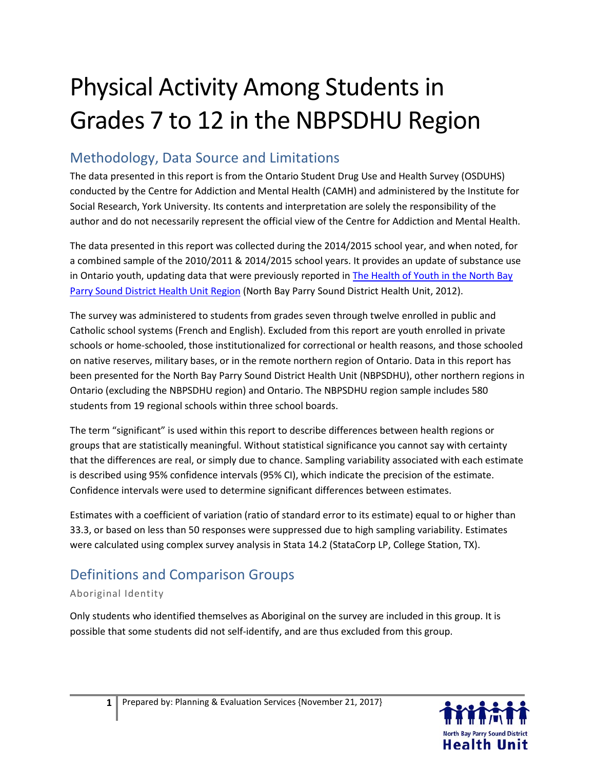# Physical Activity Among Students in Grades 7 to 12 in the NBPSDHU Region

#### Methodology, Data Source and Limitations

The data presented in this report is from the Ontario Student Drug Use and Health Survey (OSDUHS) conducted by the Centre for Addiction and Mental Health (CAMH) and administered by the Institute for Social Research, York University. Its contents and interpretation are solely the responsibility of the author and do not necessarily represent the official view of the Centre for Addiction and Mental Health.

The data presented in this report was collected during the 2014/2015 school year, and when noted, for a combined sample of the 2010/2011 & 2014/2015 school years. It provides an update of substance use in Ontario youth, updating data that were previously reported in The Health of Youth in the North Bay [Parry Sound District Health Unit Region](http://www.myhealthunit.ca/en/partnerandhealthproviderresources/resources/Reports__Stats/TheHealthofYouthintheNBPSDHURegionNov2012.pdf) (North Bay Parry Sound District Health Unit, 2012).

The survey was administered to students from grades seven through twelve enrolled in public and Catholic school systems (French and English). Excluded from this report are youth enrolled in private schools or home-schooled, those institutionalized for correctional or health reasons, and those schooled on native reserves, military bases, or in the remote northern region of Ontario. Data in this report has been presented for the North Bay Parry Sound District Health Unit (NBPSDHU), other northern regions in Ontario (excluding the NBPSDHU region) and Ontario. The NBPSDHU region sample includes 580 students from 19 regional schools within three school boards.

The term "significant" is used within this report to describe differences between health regions or groups that are statistically meaningful. Without statistical significance you cannot say with certainty that the differences are real, or simply due to chance. Sampling variability associated with each estimate is described using 95% confidence intervals (95% CI), which indicate the precision of the estimate. Confidence intervals were used to determine significant differences between estimates.

Estimates with a coefficient of variation (ratio of standard error to its estimate) equal to or higher than 33.3, or based on less than 50 responses were suppressed due to high sampling variability. Estimates were calculated using complex survey analysis in Stata 14.2 (StataCorp LP, College Station, TX).

## Definitions and Comparison Groups

#### Aboriginal Identity

Only students who identified themselves as Aboriginal on the survey are included in this group. It is possible that some students did not self-identify, and are thus excluded from this group.

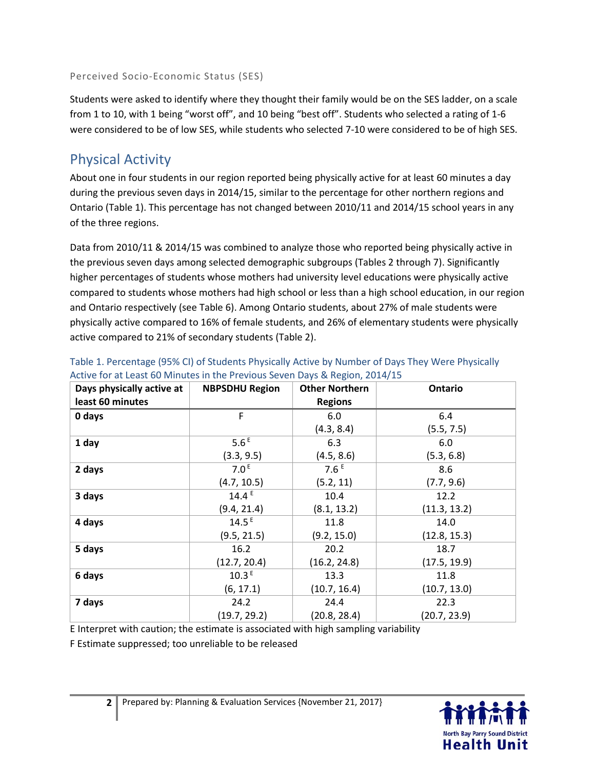Perceived Socio-Economic Status (SES)

Students were asked to identify where they thought their family would be on the SES ladder, on a scale from 1 to 10, with 1 being "worst off", and 10 being "best off". Students who selected a rating of 1-6 were considered to be of low SES, while students who selected 7-10 were considered to be of high SES.

#### Physical Activity

About one in four students in our region reported being physically active for at least 60 minutes a day during the previous seven days in 2014/15, similar to the percentage for other northern regions and Ontario (Table 1). This percentage has not changed between 2010/11 and 2014/15 school years in any of the three regions.

Data from 2010/11 & 2014/15 was combined to analyze those who reported being physically active in the previous seven days among selected demographic subgroups (Tables 2 through 7). Significantly higher percentages of students whose mothers had university level educations were physically active compared to students whose mothers had high school or less than a high school education, in our region and Ontario respectively (see Table 6). Among Ontario students, about 27% of male students were physically active compared to 16% of female students, and 26% of elementary students were physically active compared to 21% of secondary students (Table 2).

| Days physically active at | <b>NBPSDHU Region</b> | <b>Other Northern</b> | Ontario      |
|---------------------------|-----------------------|-----------------------|--------------|
| least 60 minutes          |                       | <b>Regions</b>        |              |
| 0 days                    | F                     | 6.0                   | 6.4          |
|                           |                       | (4.3, 8.4)            | (5.5, 7.5)   |
| 1 day                     | 5.6 <sup>E</sup>      | 6.3                   | 6.0          |
|                           | (3.3, 9.5)            | (4.5, 8.6)            | (5.3, 6.8)   |
| 2 days                    | 7.0 <sup>E</sup>      | 7.6 <sup>E</sup>      | 8.6          |
|                           | (4.7, 10.5)           | (5.2, 11)             | (7.7, 9.6)   |
| 3 days                    | $14.4^E$              | 10.4                  | 12.2         |
|                           | (9.4, 21.4)           | (8.1, 13.2)           | (11.3, 13.2) |
| 4 days                    | 14.5 <sup>E</sup>     | 11.8                  | 14.0         |
|                           | (9.5, 21.5)           | (9.2, 15.0)           | (12.8, 15.3) |
| 5 days                    | 16.2                  | 20.2                  | 18.7         |
|                           | (12.7, 20.4)          | (16.2, 24.8)          | (17.5, 19.9) |
| 6 days                    | 10.3 <sup>E</sup>     | 13.3                  | 11.8         |
|                           | (6, 17.1)             | (10.7, 16.4)          | (10.7, 13.0) |
| 7 days                    | 24.2                  | 24.4                  | 22.3         |
|                           | (19.7, 29.2)          | (20.8, 28.4)          | (20.7, 23.9) |

| Table 1. Percentage (95% CI) of Students Physically Active by Number of Days They Were Physically |
|---------------------------------------------------------------------------------------------------|
| Active for at Least 60 Minutes in the Previous Seven Days & Region, 2014/15                       |

E Interpret with caution; the estimate is associated with high sampling variability

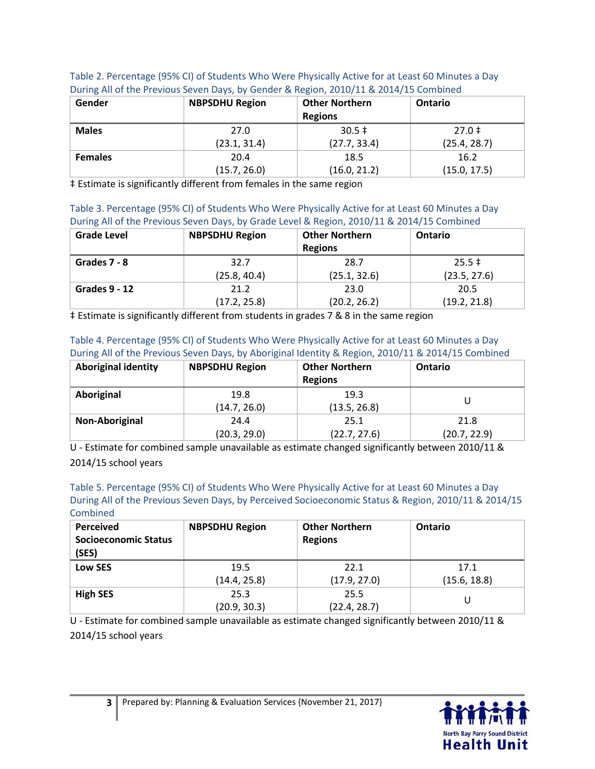| Gender         | <b>NBPSDHU Region</b> | <b>Other Northern</b><br><b>Regions</b> | <b>Ontario</b> |
|----------------|-----------------------|-----------------------------------------|----------------|
| <b>Males</b>   | 27.0                  | $30.5 \pm$                              | $27.0 \pm$     |
|                | (23.1, 31.4)          | (27.7, 33.4)                            | (25.4, 28.7)   |
| <b>Females</b> | 20.4                  | 18.5                                    | 16.2           |
|                | (15.7, 26.0)          | (16.0, 21.2)                            | (15.0, 17.5)   |

Table 2. Percentage (95% CI) of Students Who Were Physically Active for at Least 60 Minutes a Day During All of the Previous Seven Days, by Gender & Region, 2010/11 & 2014/15 Combined

‡ Estimate is significantly different from females in the same region

Table 3. Percentage (95% CI) of Students Who Were Physically Active for at Least 60 Minutes a Day During All of the Previous Seven Days, by Grade Level & Region, 2010/11 & 2014/15 Combined

| <b>Grade Level</b>   | <b>NBPSDHU Region</b> | <b>Other Northern</b><br><b>Regions</b> | <b>Ontario</b> |
|----------------------|-----------------------|-----------------------------------------|----------------|
| Grades 7 - 8         | 32.7                  | 28.7                                    | $25.5 \pm$     |
|                      | (25.8, 40.4)          | (25.1, 32.6)                            | (23.5, 27.6)   |
| <b>Grades 9 - 12</b> | 21.2                  | 23.0                                    | 20.5           |
|                      | (17.2, 25.8)          | (20.2, 26.2)                            | (19.2, 21.8)   |

‡ Estimate is significantly different from students in grades 7 & 8 in the same region

Table 4. Percentage (95% CI) of Students Who Were Physically Active for at Least 60 Minutes a Day During All of the Previous Seven Days, by Aboriginal Identity & Region, 2010/11 & 2014/15 Combined

| <b>Aboriginal identity</b> | <b>NBPSDHU Region</b> | <b>Other Northern</b><br><b>Regions</b> | Ontario      |
|----------------------------|-----------------------|-----------------------------------------|--------------|
| Aboriginal                 | 19.8                  | 19.3                                    |              |
|                            | (14.7, 26.0)          | (13.5, 26.8)                            |              |
| Non-Aboriginal             | 24.4                  | 25.1                                    | 21.8         |
|                            | (20.3, 29.0)          | (22.7, 27.6)                            | (20.7, 22.9) |

U - Estimate for combined sample unavailable as estimate changed significantly between 2010/11 & 2014/15 school years

Table 5. Percentage (95% CI) of Students Who Were Physically Active for at Least 60 Minutes a Day During All of the Previous Seven Days, by Perceived Socioeconomic Status & Region, 2010/11 & 2014/15 Combined

| <b>Perceived</b><br><b>Socioeconomic Status</b><br>(SES) | <b>NBPSDHU Region</b> | <b>Other Northern</b><br><b>Regions</b> | <b>Ontario</b> |
|----------------------------------------------------------|-----------------------|-----------------------------------------|----------------|
| Low SES                                                  | 19.5                  | 22.1                                    | 17.1           |
|                                                          | (14.4, 25.8)          | (17.9, 27.0)                            | (15.6, 18.8)   |
| <b>High SES</b>                                          | 25.3                  | 25.5                                    |                |
|                                                          | (20.9, 30.3)          | (22.4, 28.7)                            |                |

U - Estimate for combined sample unavailable as estimate changed significantly between 2010/11 & 2014/15 school years

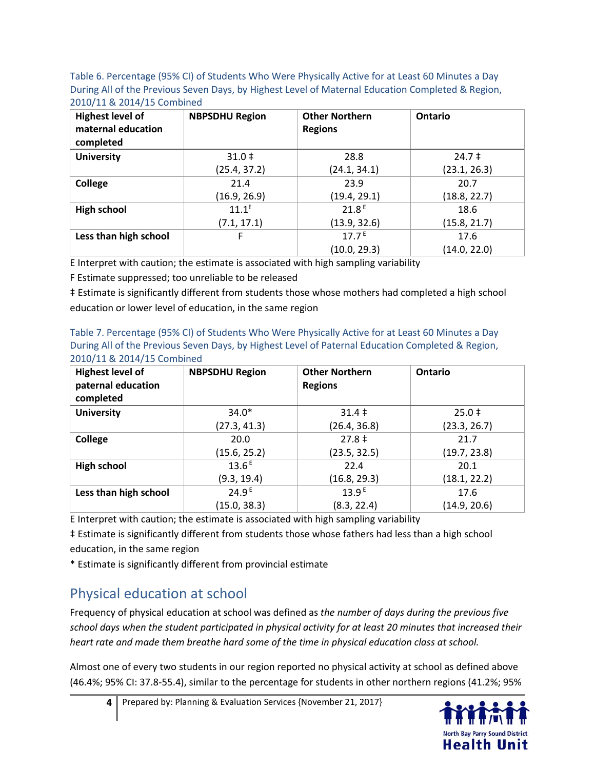Table 6. Percentage (95% CI) of Students Who Were Physically Active for at Least 60 Minutes a Day During All of the Previous Seven Days, by Highest Level of Maternal Education Completed & Region, 2010/11 & 2014/15 Combined

| <b>Highest level of</b><br>maternal education<br>completed | <b>NBPSDHU Region</b> | <b>Other Northern</b><br><b>Regions</b> | Ontario      |
|------------------------------------------------------------|-----------------------|-----------------------------------------|--------------|
| <b>University</b>                                          | $31.0 \;{\rm{!}}$     | 28.8                                    | $24.7 \pm$   |
|                                                            | (25.4, 37.2)          | (24.1, 34.1)                            | (23.1, 26.3) |
| College                                                    | 21.4                  | 23.9                                    | 20.7         |
|                                                            | (16.9, 26.9)          | (19.4, 29.1)                            | (18.8, 22.7) |
| <b>High school</b>                                         | $11.1^E$              | 21.8 <sup>E</sup>                       | 18.6         |
|                                                            | (7.1, 17.1)           | (13.9, 32.6)                            | (15.8, 21.7) |
| Less than high school                                      | F                     | $17.7^E$                                | 17.6         |
|                                                            |                       | (10.0, 29.3)                            | (14.0, 22.0) |

E Interpret with caution; the estimate is associated with high sampling variability

F Estimate suppressed; too unreliable to be released

‡ Estimate is significantly different from students those whose mothers had completed a high school education or lower level of education, in the same region

Table 7. Percentage (95% CI) of Students Who Were Physically Active for at Least 60 Minutes a Day During All of the Previous Seven Days, by Highest Level of Paternal Education Completed & Region, 2010/11 & 2014/15 Combined

| <b>Highest level of</b><br>paternal education<br>completed | <b>NBPSDHU Region</b> | <b>Other Northern</b><br><b>Regions</b> | Ontario      |
|------------------------------------------------------------|-----------------------|-----------------------------------------|--------------|
| <b>University</b>                                          | $34.0*$               | $31.4 \;{\rm \ddagger}$                 | $25.0 \pm$   |
|                                                            | (27.3, 41.3)          | (26.4, 36.8)                            | (23.3, 26.7) |
| College                                                    | 20.0                  | $27.8 \pm$                              | 21.7         |
|                                                            | (15.6, 25.2)          | (23.5, 32.5)                            | (19.7, 23.8) |
| <b>High school</b>                                         | $13.6^{E}$            | 22.4                                    | 20.1         |
|                                                            | (9.3, 19.4)           | (16.8, 29.3)                            | (18.1, 22.2) |
| Less than high school                                      | 24.9 <sup>E</sup>     | 13.9 <sup>E</sup>                       | 17.6         |
|                                                            | (15.0, 38.3)          | (8.3, 22.4)                             | (14.9, 20.6) |

E Interpret with caution; the estimate is associated with high sampling variability

‡ Estimate is significantly different from students those whose fathers had less than a high school education, in the same region

\* Estimate is significantly different from provincial estimate

## Physical education at school

Frequency of physical education at school was defined as *the number of days during the previous five school days when the student participated in physical activity for at least 20 minutes that increased their heart rate and made them breathe hard some of the time in physical education class at school.* 

Almost one of every two students in our region reported no physical activity at school as defined above (46.4%; 95% CI: 37.8-55.4), similar to the percentage for students in other northern regions (41.2%; 95%

**4** Prepared by: Planning & Evaluation Services {November 21, 2017}

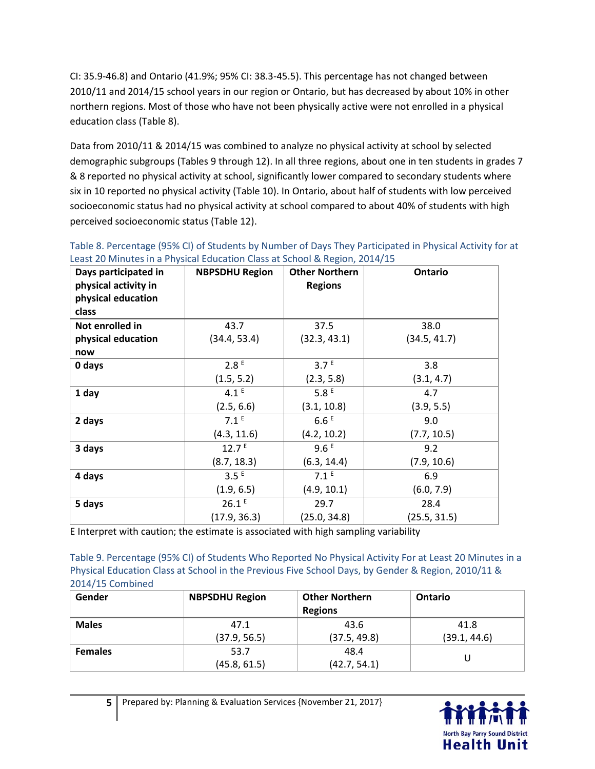CI: 35.9-46.8) and Ontario (41.9%; 95% CI: 38.3-45.5). This percentage has not changed between 2010/11 and 2014/15 school years in our region or Ontario, but has decreased by about 10% in other northern regions. Most of those who have not been physically active were not enrolled in a physical education class (Table 8).

Data from 2010/11 & 2014/15 was combined to analyze no physical activity at school by selected demographic subgroups (Tables 9 through 12). In all three regions, about one in ten students in grades 7 & 8 reported no physical activity at school, significantly lower compared to secondary students where six in 10 reported no physical activity (Table 10). In Ontario, about half of students with low perceived socioeconomic status had no physical activity at school compared to about 40% of students with high perceived socioeconomic status (Table 12).

| Days participated in<br>physical activity in<br>physical education | <b>NBPSDHU Region</b> | <b>Other Northern</b><br><b>Regions</b> | Ontario      |
|--------------------------------------------------------------------|-----------------------|-----------------------------------------|--------------|
| class                                                              |                       |                                         |              |
| Not enrolled in                                                    | 43.7                  | 37.5                                    | 38.0         |
| physical education                                                 | (34.4, 53.4)          | (32.3, 43.1)                            | (34.5, 41.7) |
| now                                                                |                       |                                         |              |
| 0 days                                                             | 2.8 <sup>E</sup>      | 3.7 <sup>E</sup>                        | 3.8          |
|                                                                    | (1.5, 5.2)            | (2.3, 5.8)                              | (3.1, 4.7)   |
| 1 day                                                              | 4.1 <sup>E</sup>      | 5.8 <sup>E</sup>                        | 4.7          |
|                                                                    | (2.5, 6.6)            | (3.1, 10.8)                             | (3.9, 5.5)   |
| 2 days                                                             | 7.1 <sup>E</sup>      | 6.6E                                    | 9.0          |
|                                                                    | (4.3, 11.6)           | (4.2, 10.2)                             | (7.7, 10.5)  |
| 3 days                                                             | 12.7 <sup>E</sup>     | 9.6E                                    | 9.2          |
|                                                                    | (8.7, 18.3)           | (6.3, 14.4)                             | (7.9, 10.6)  |
| 4 days                                                             | 3.5 <sup>E</sup>      | 7.1 <sup>E</sup>                        | 6.9          |
|                                                                    | (1.9, 6.5)            | (4.9, 10.1)                             | (6.0, 7.9)   |
| 5 days                                                             | 26.1E                 | 29.7                                    | 28.4         |
|                                                                    | (17.9, 36.3)          | (25.0, 34.8)                            | (25.5, 31.5) |

Table 8. Percentage (95% CI) of Students by Number of Days They Participated in Physical Activity for at Least 20 Minutes in a Physical Education Class at School & Region, 2014/15

E Interpret with caution; the estimate is associated with high sampling variability

Table 9. Percentage (95% CI) of Students Who Reported No Physical Activity For at Least 20 Minutes in a Physical Education Class at School in the Previous Five School Days, by Gender & Region, 2010/11 & 2014/15 Combined

| Gender         | <b>NBPSDHU Region</b> | <b>Other Northern</b><br><b>Regions</b> | <b>Ontario</b> |
|----------------|-----------------------|-----------------------------------------|----------------|
| <b>Males</b>   | 47.1                  | 43.6                                    | 41.8           |
|                | (37.9, 56.5)          | (37.5, 49.8)                            | (39.1, 44.6)   |
| <b>Females</b> | 53.7                  | 48.4                                    |                |
|                | (45.8, 61.5)          | (42.7, 54.1)                            |                |

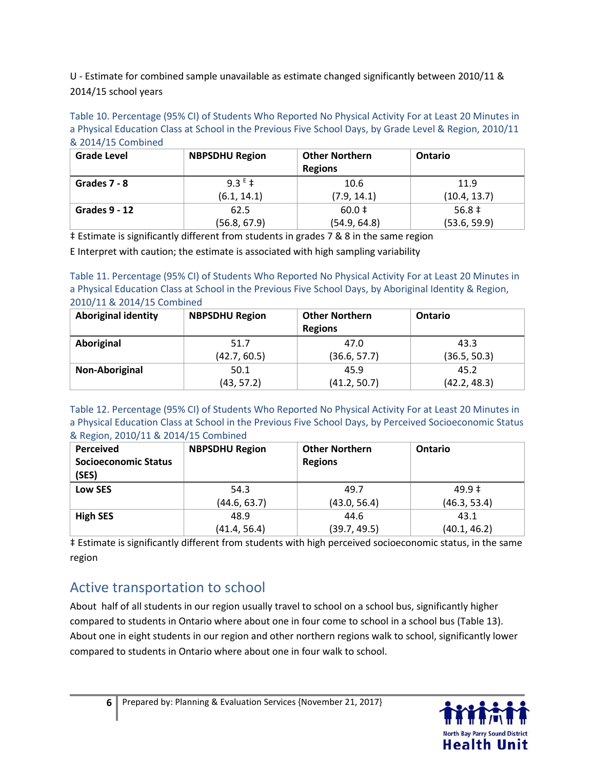U - Estimate for combined sample unavailable as estimate changed significantly between 2010/11 & 2014/15 school years

Table 10. Percentage (95% CI) of Students Who Reported No Physical Activity For at Least 20 Minutes in a Physical Education Class at School in the Previous Five School Days, by Grade Level & Region, 2010/11 & 2014/15 Combined

| <b>Grade Level</b>   | <b>NBPSDHU Region</b> | <b>Other Northern</b><br><b>Regions</b> | <b>Ontario</b> |
|----------------------|-----------------------|-----------------------------------------|----------------|
| Grades 7 - 8         | 9.3 $E_{\pm}$         | 10.6                                    | 11.9           |
|                      | (6.1, 14.1)           | (7.9, 14.1)                             | (10.4, 13.7)   |
| <b>Grades 9 - 12</b> | 62.5                  | $60.0 \pm$                              | $56.8 \pm$     |
|                      | (56.8, 67.9)          | (54.9, 64.8)                            | (53.6, 59.9)   |

‡ Estimate is significantly different from students in grades 7 & 8 in the same region

E Interpret with caution; the estimate is associated with high sampling variability

Table 11. Percentage (95% CI) of Students Who Reported No Physical Activity For at Least 20 Minutes in a Physical Education Class at School in the Previous Five School Days, by Aboriginal Identity & Region, 2010/11 & 2014/15 Combined

| <b>Aboriginal identity</b> | <b>NBPSDHU Region</b> | <b>Other Northern</b><br><b>Regions</b> | <b>Ontario</b> |
|----------------------------|-----------------------|-----------------------------------------|----------------|
| Aboriginal                 | 51.7                  | 47.0                                    | 43.3           |
|                            | (42.7, 60.5)          | (36.6, 57.7)                            | (36.5, 50.3)   |
| Non-Aboriginal             | 50.1                  | 45.9                                    | 45.2           |
|                            | (43, 57.2)            | (41.2, 50.7)                            | (42.2, 48.3)   |

Table 12. Percentage (95% CI) of Students Who Reported No Physical Activity For at Least 20 Minutes in a Physical Education Class at School in the Previous Five School Days, by Perceived Socioeconomic Status & Region, 2010/11 & 2014/15 Combined

| <b>Perceived</b><br><b>Socioeconomic Status</b><br>(SES) | <b>NBPSDHU Region</b> | <b>Other Northern</b><br><b>Regions</b> | Ontario      |
|----------------------------------------------------------|-----------------------|-----------------------------------------|--------------|
| Low SES                                                  | 54.3                  | 49.7                                    | $49.9 \pm$   |
|                                                          | (44.6, 63.7)          | (43.0, 56.4)                            | (46.3, 53.4) |
| <b>High SES</b>                                          | 48.9                  | 44.6                                    | 43.1         |
|                                                          | (41.4, 56.4)          | (39.7, 49.5)                            | (40.1, 46.2) |

‡ Estimate is significantly different from students with high perceived socioeconomic status, in the same region

## Active transportation to school

About half of all students in our region usually travel to school on a school bus, significantly higher compared to students in Ontario where about one in four come to school in a school bus (Table 13). About one in eight students in our region and other northern regions walk to school, significantly lower compared to students in Ontario where about one in four walk to school.

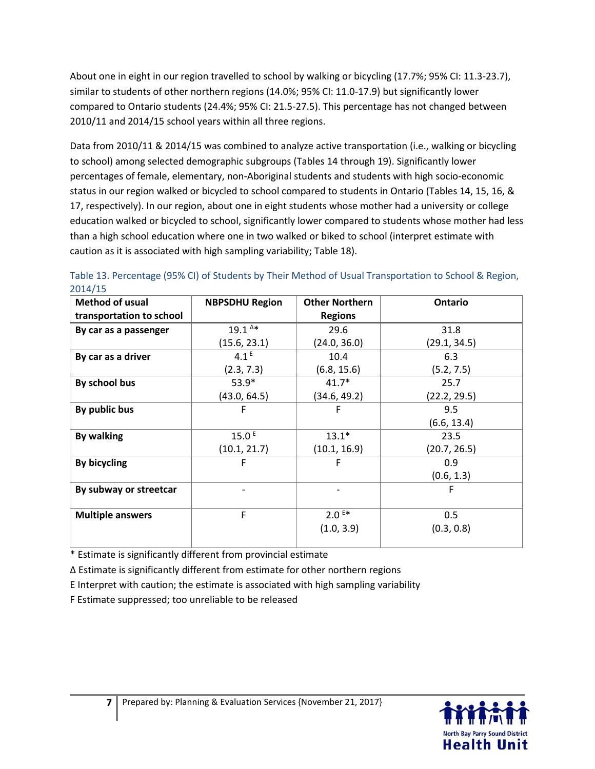About one in eight in our region travelled to school by walking or bicycling (17.7%; 95% CI: 11.3-23.7), similar to students of other northern regions (14.0%; 95% CI: 11.0-17.9) but significantly lower compared to Ontario students (24.4%; 95% CI: 21.5-27.5). This percentage has not changed between 2010/11 and 2014/15 school years within all three regions.

Data from 2010/11 & 2014/15 was combined to analyze active transportation (i.e., walking or bicycling to school) among selected demographic subgroups (Tables 14 through 19). Significantly lower percentages of female, elementary, non-Aboriginal students and students with high socio-economic status in our region walked or bicycled to school compared to students in Ontario (Tables 14, 15, 16, & 17, respectively). In our region, about one in eight students whose mother had a university or college education walked or bicycled to school, significantly lower compared to students whose mother had less than a high school education where one in two walked or biked to school (interpret estimate with caution as it is associated with high sampling variability; Table 18).

| Method of usual          | <b>NBPSDHU Region</b> | <b>Other Northern</b> | Ontario      |
|--------------------------|-----------------------|-----------------------|--------------|
| transportation to school |                       | <b>Regions</b>        |              |
| By car as a passenger    | $19.1^{A*}$           | 29.6                  | 31.8         |
|                          | (15.6, 23.1)          | (24.0, 36.0)          | (29.1, 34.5) |
| By car as a driver       | 4.1 <sup>E</sup>      | 10.4                  | 6.3          |
|                          | (2.3, 7.3)            | (6.8, 15.6)           | (5.2, 7.5)   |
| By school bus            | $53.9*$               | $41.7*$               | 25.7         |
|                          | (43.0, 64.5)          | (34.6, 49.2)          | (22.2, 29.5) |
| By public bus            | F                     | F                     | 9.5          |
|                          |                       |                       | (6.6, 13.4)  |
| <b>By walking</b>        | 15.0 <sup>E</sup>     | $13.1*$               | 23.5         |
|                          | (10.1, 21.7)          | (10.1, 16.9)          | (20.7, 26.5) |
| By bicycling             | F                     | F                     | 0.9          |
|                          |                       |                       | (0.6, 1.3)   |
| By subway or streetcar   |                       |                       | F            |
|                          |                       |                       |              |
| <b>Multiple answers</b>  | F                     | $2.0E*$               | 0.5          |
|                          |                       | (1.0, 3.9)            | (0.3, 0.8)   |
|                          |                       |                       |              |

Table 13. Percentage (95% CI) of Students by Their Method of Usual Transportation to School & Region, 2014/15

\* Estimate is significantly different from provincial estimate

Δ Estimate is significantly different from estimate for other northern regions

E Interpret with caution; the estimate is associated with high sampling variability

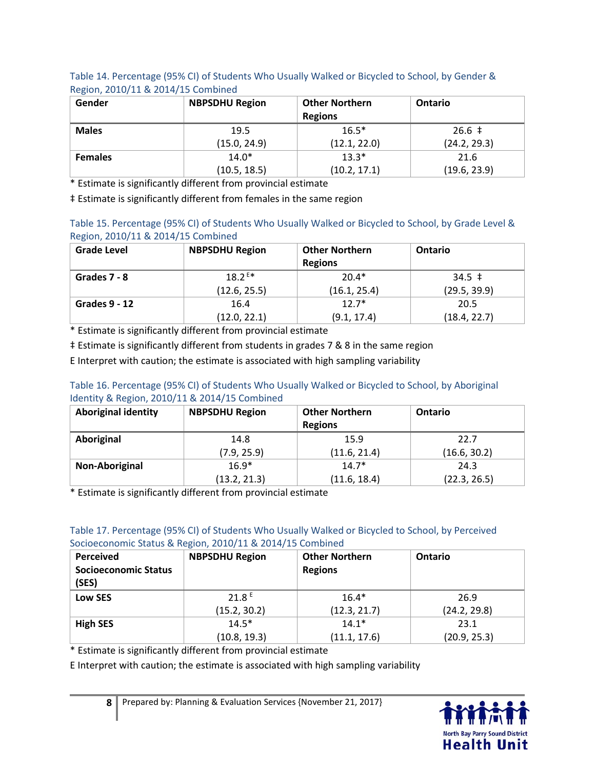Table 14. Percentage (95% CI) of Students Who Usually Walked or Bicycled to School, by Gender & Region, 2010/11 & 2014/15 Combined

| Gender         | <b>NBPSDHU Region</b> | <b>Other Northern</b><br><b>Regions</b> | <b>Ontario</b> |
|----------------|-----------------------|-----------------------------------------|----------------|
| <b>Males</b>   | 19.5                  | $16.5*$                                 | $26.6 \pm$     |
|                | (15.0, 24.9)          | (12.1, 22.0)                            | (24.2, 29.3)   |
| <b>Females</b> | $14.0*$               | $13.3*$                                 | 21.6           |
|                | (10.5, 18.5)          | (10.2, 17.1)                            | (19.6, 23.9)   |

\* Estimate is significantly different from provincial estimate

‡ Estimate is significantly different from females in the same region

| Table 15. Percentage (95% CI) of Students Who Usually Walked or Bicycled to School, by Grade Level & |  |
|------------------------------------------------------------------------------------------------------|--|
| Region, 2010/11 & 2014/15 Combined                                                                   |  |

| <b>Grade Level</b> | <b>NBPSDHU Region</b> | <b>Other Northern</b><br><b>Regions</b> | <b>Ontario</b> |
|--------------------|-----------------------|-----------------------------------------|----------------|
| Grades 7 - 8       | $18.2^{E*}$           | $20.4*$                                 | $34.5 \pm$     |
|                    | (12.6, 25.5)          | (16.1, 25.4)                            | (29.5, 39.9)   |
| Grades 9 - 12      | 16.4                  | $12.7*$                                 | 20.5           |
|                    | (12.0, 22.1)          | (9.1, 17.4)                             | (18.4, 22.7)   |

\* Estimate is significantly different from provincial estimate

‡ Estimate is significantly different from students in grades 7 & 8 in the same region

E Interpret with caution; the estimate is associated with high sampling variability

#### Table 16. Percentage (95% CI) of Students Who Usually Walked or Bicycled to School, by Aboriginal Identity & Region, 2010/11 & 2014/15 Combined

| <b>Aboriginal identity</b> | <b>NBPSDHU Region</b> | <b>Other Northern</b><br><b>Regions</b> | <b>Ontario</b> |
|----------------------------|-----------------------|-----------------------------------------|----------------|
| Aboriginal                 | 14.8                  | 15.9                                    | 22.7           |
|                            | (7.9, 25.9)           | (11.6, 21.4)                            | (16.6, 30.2)   |
| Non-Aboriginal             | $16.9*$               | $14.7*$                                 | 24.3           |
|                            | (13.2, 21.3)          | (11.6, 18.4)                            | (22.3, 26.5)   |

\* Estimate is significantly different from provincial estimate

#### Table 17. Percentage (95% CI) of Students Who Usually Walked or Bicycled to School, by Perceived Socioeconomic Status & Region, 2010/11 & 2014/15 Combined

| <b>Perceived</b><br><b>Socioeconomic Status</b><br>(SES) | <b>NBPSDHU Region</b> | <b>Other Northern</b><br><b>Regions</b> | Ontario      |
|----------------------------------------------------------|-----------------------|-----------------------------------------|--------------|
| Low SES                                                  | 21.8 <sup>E</sup>     | $16.4*$                                 | 26.9         |
|                                                          | (15.2, 30.2)          | (12.3, 21.7)                            | (24.2, 29.8) |
| <b>High SES</b>                                          | $14.5*$               | $14.1*$                                 | 23.1         |
|                                                          | (10.8, 19.3)          | (11.1, 17.6)                            | (20.9, 25.3) |

\* Estimate is significantly different from provincial estimate

E Interpret with caution; the estimate is associated with high sampling variability

8 Prepared by: Planning & Evaluation Services {November 21, 2017}

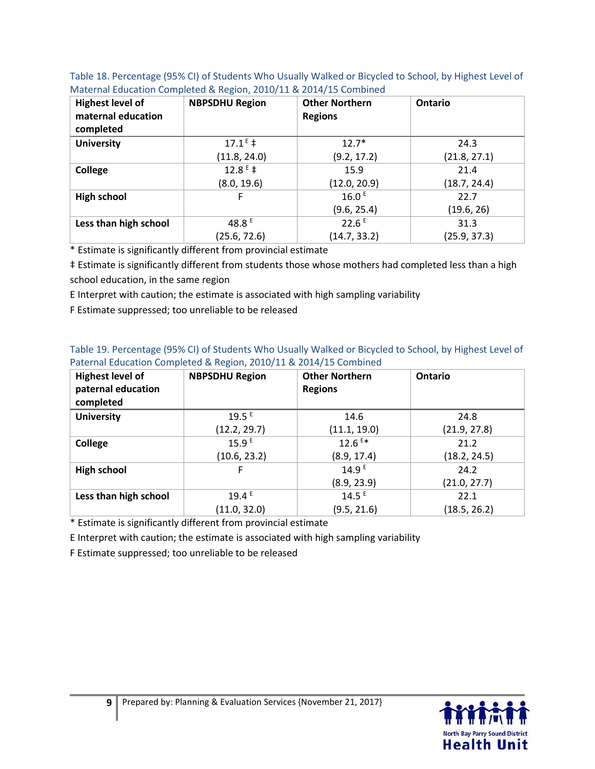| <b>Highest level of</b><br>maternal education<br>completed | <b>NBPSDHU Region</b> | <b>Other Northern</b><br><b>Regions</b> | Ontario      |
|------------------------------------------------------------|-----------------------|-----------------------------------------|--------------|
| <b>University</b>                                          | $17.1^E$ ‡            | $12.7*$                                 | 24.3         |
|                                                            | (11.8, 24.0)          | (9.2, 17.2)                             | (21.8, 27.1) |
| College                                                    | $12.8^E \text{+}$     | 15.9                                    | 21.4         |
|                                                            | (8.0, 19.6)           | (12.0, 20.9)                            | (18.7, 24.4) |
| <b>High school</b>                                         | F                     | 16.0 <sup>E</sup>                       | 22.7         |
|                                                            |                       | (9.6, 25.4)                             | (19.6, 26)   |
| Less than high school                                      | 48.8 $E$              | 22.6E                                   | 31.3         |
|                                                            | (25.6, 72.6)          | (14.7, 33.2)                            | (25.9, 37.3) |

Table 18. Percentage (95% CI) of Students Who Usually Walked or Bicycled to School, by Highest Level of Maternal Education Completed & Region, 2010/11 & 2014/15 Combined

\* Estimate is significantly different from provincial estimate

‡ Estimate is significantly different from students those whose mothers had completed less than a high school education, in the same region

E Interpret with caution; the estimate is associated with high sampling variability

F Estimate suppressed; too unreliable to be released

| Table 19. Percentage (95% CI) of Students Who Usually Walked or Bicycled to School, by Highest Level of |
|---------------------------------------------------------------------------------------------------------|
| Paternal Education Completed & Region, 2010/11 & 2014/15 Combined                                       |

| <b>Highest level of</b><br>paternal education<br>completed | <b>NBPSDHU Region</b> | <b>Other Northern</b><br><b>Regions</b> | Ontario      |
|------------------------------------------------------------|-----------------------|-----------------------------------------|--------------|
| <b>University</b>                                          | $19.5^E$              | 14.6                                    | 24.8         |
|                                                            | (12.2, 29.7)          | (11.1, 19.0)                            | (21.9, 27.8) |
| College                                                    | 15.9 <sup>E</sup>     | $12.6$ <sup>E*</sup>                    | 21.2         |
|                                                            | (10.6, 23.2)          | (8.9, 17.4)                             | (18.2, 24.5) |
| <b>High school</b>                                         | F                     | 14.9 <sup>E</sup>                       | 24.2         |
|                                                            |                       | (8.9, 23.9)                             | (21.0, 27.7) |
| Less than high school                                      | 19.4E                 | 14.5 <sup>E</sup>                       | 22.1         |
|                                                            | (11.0, 32.0)          | (9.5, 21.6)                             | (18.5, 26.2) |

\* Estimate is significantly different from provincial estimate

E Interpret with caution; the estimate is associated with high sampling variability

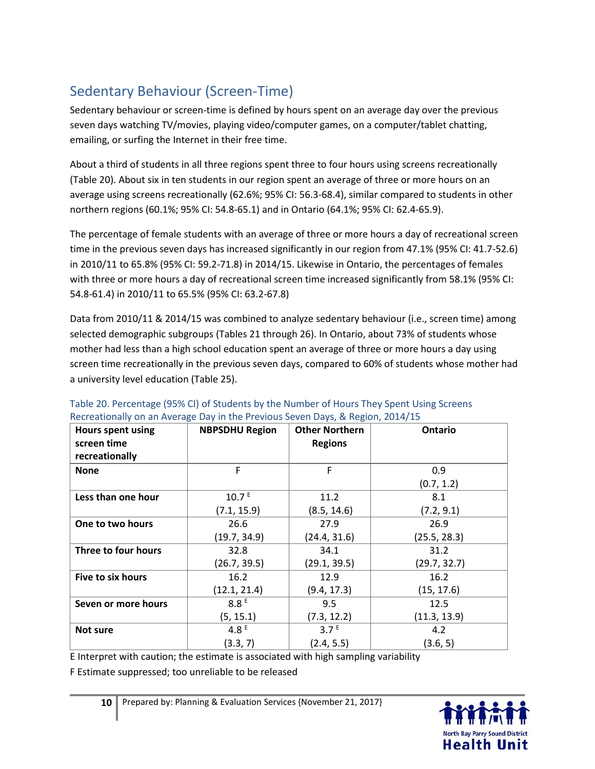## Sedentary Behaviour (Screen-Time)

Sedentary behaviour or screen-time is defined by hours spent on an average day over the previous seven days watching TV/movies, playing video/computer games, on a computer/tablet chatting, emailing, or surfing the Internet in their free time.

About a third of students in all three regions spent three to four hours using screens recreationally (Table 20). About six in ten students in our region spent an average of three or more hours on an average using screens recreationally (62.6%; 95% CI: 56.3-68.4), similar compared to students in other northern regions (60.1%; 95% CI: 54.8-65.1) and in Ontario (64.1%; 95% CI: 62.4-65.9).

The percentage of female students with an average of three or more hours a day of recreational screen time in the previous seven days has increased significantly in our region from 47.1% (95% CI: 41.7-52.6) in 2010/11 to 65.8% (95% CI: 59.2-71.8) in 2014/15. Likewise in Ontario, the percentages of females with three or more hours a day of recreational screen time increased significantly from 58.1% (95% CI: 54.8-61.4) in 2010/11 to 65.5% (95% CI: 63.2-67.8)

Data from 2010/11 & 2014/15 was combined to analyze sedentary behaviour (i.e., screen time) among selected demographic subgroups (Tables 21 through 26). In Ontario, about 73% of students whose mother had less than a high school education spent an average of three or more hours a day using screen time recreationally in the previous seven days, compared to 60% of students whose mother had a university level education (Table 25).

| Hours spent using   | <b>NBPSDHU Region</b> | <b>Other Northern</b> | Ontario      |
|---------------------|-----------------------|-----------------------|--------------|
| screen time         |                       | <b>Regions</b>        |              |
| recreationally      |                       |                       |              |
| <b>None</b>         | F                     | F                     | 0.9          |
|                     |                       |                       | (0.7, 1.2)   |
| Less than one hour  | 10.7 E                | 11.2                  | 8.1          |
|                     | (7.1, 15.9)           | (8.5, 14.6)           | (7.2, 9.1)   |
| One to two hours    | 26.6                  | 27.9                  | 26.9         |
|                     | (19.7, 34.9)          | (24.4, 31.6)          | (25.5, 28.3) |
| Three to four hours | 32.8                  | 34.1                  | 31.2         |
|                     | (26.7, 39.5)          | (29.1, 39.5)          | (29.7, 32.7) |
| Five to six hours   | 16.2                  | 12.9                  | 16.2         |
|                     | (12.1, 21.4)          | (9.4, 17.3)           | (15, 17.6)   |
| Seven or more hours | 8.8E                  | 9.5                   | 12.5         |
|                     | (5, 15.1)             | (7.3, 12.2)           | (11.3, 13.9) |
| <b>Not sure</b>     | 4.8 $E$               | 3.7 <sup>E</sup>      | 4.2          |
|                     | (3.3, 7)              | (2.4, 5.5)            | (3.6, 5)     |

Table 20. Percentage (95% CI) of Students by the Number of Hours They Spent Using Screens Recreationally on an Average Day in the Previous Seven Days, & Region, 2014/15

E Interpret with caution; the estimate is associated with high sampling variability

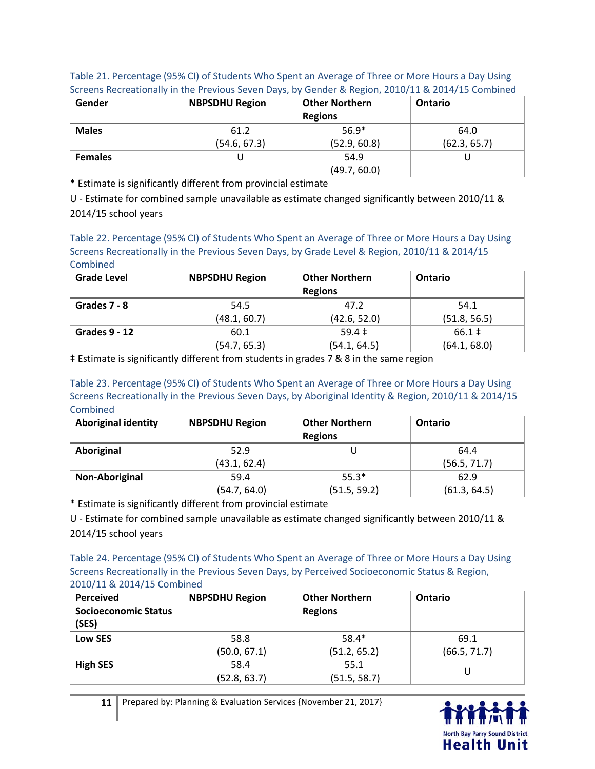| Table 21. Percentage (95% CI) of Students Who Spent an Average of Three or More Hours a Day Using |
|---------------------------------------------------------------------------------------------------|
| Screens Recreationally in the Previous Seven Days, by Gender & Region, 2010/11 & 2014/15 Combined |

| Gender         | <b>NBPSDHU Region</b> | <b>Other Northern</b><br><b>Regions</b> | Ontario      |
|----------------|-----------------------|-----------------------------------------|--------------|
| <b>Males</b>   | 61.2                  | $56.9*$                                 | 64.0         |
|                | (54.6, 67.3)          | (52.9, 60.8)                            | (62.3, 65.7) |
| <b>Females</b> |                       | 54.9                                    |              |
|                |                       | (49.7, 60.0)                            |              |

\* Estimate is significantly different from provincial estimate

U - Estimate for combined sample unavailable as estimate changed significantly between 2010/11 & 2014/15 school years

#### Table 22. Percentage (95% CI) of Students Who Spent an Average of Three or More Hours a Day Using Screens Recreationally in the Previous Seven Days, by Grade Level & Region, 2010/11 & 2014/15 **Combined**

| <b>Grade Level</b>   | <b>NBPSDHU Region</b> | <b>Other Northern</b><br><b>Regions</b> | <b>Ontario</b> |
|----------------------|-----------------------|-----------------------------------------|----------------|
| Grades 7 - 8         | 54.5                  | 47.2                                    | 54.1           |
|                      | (48.1, 60.7)          | (42.6, 52.0)                            | (51.8, 56.5)   |
| <b>Grades 9 - 12</b> | 60.1                  | $59.4 \pm$                              | $66.1 \;$ ‡    |
|                      | (54.7, 65.3)          | (54.1, 64.5)                            | (64.1, 68.0)   |

‡ Estimate is significantly different from students in grades 7 & 8 in the same region

Table 23. Percentage (95% CI) of Students Who Spent an Average of Three or More Hours a Day Using Screens Recreationally in the Previous Seven Days, by Aboriginal Identity & Region, 2010/11 & 2014/15 **Combined** 

| <b>Aboriginal identity</b> | <b>NBPSDHU Region</b> | <b>Other Northern</b><br><b>Regions</b> | <b>Ontario</b> |
|----------------------------|-----------------------|-----------------------------------------|----------------|
| Aboriginal                 | 52.9                  |                                         | 64.4           |
|                            | (43.1, 62.4)          |                                         | (56.5, 71.7)   |
| Non-Aboriginal             | 59.4                  | $55.3*$                                 | 62.9           |
|                            | (54.7, 64.0)          | (51.5, 59.2)                            | (61.3, 64.5)   |

\* Estimate is significantly different from provincial estimate

U - Estimate for combined sample unavailable as estimate changed significantly between 2010/11 & 2014/15 school years

Table 24. Percentage (95% CI) of Students Who Spent an Average of Three or More Hours a Day Using Screens Recreationally in the Previous Seven Days, by Perceived Socioeconomic Status & Region, 2010/11 & 2014/15 Combined

| Perceived<br><b>Socioeconomic Status</b><br>(SES) | <b>NBPSDHU Region</b> | <b>Other Northern</b><br><b>Regions</b> | Ontario      |
|---------------------------------------------------|-----------------------|-----------------------------------------|--------------|
| Low SES                                           | 58.8                  | $58.4*$                                 | 69.1         |
|                                                   | (50.0, 67.1)          | (51.2, 65.2)                            | (66.5, 71.7) |
| <b>High SES</b>                                   | 58.4                  | 55.1                                    | U            |
|                                                   | (52.8, 63.7)          | (51.5, 58.7)                            |              |